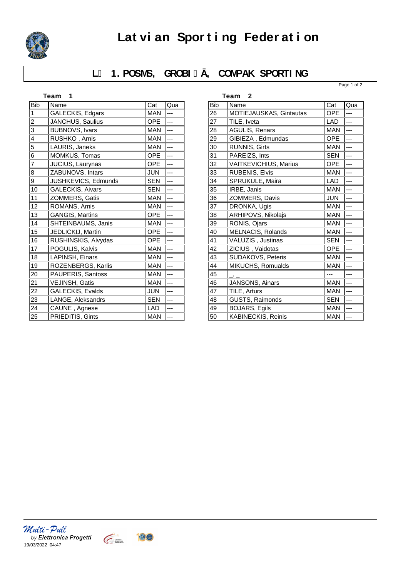

# Latvian Sporting Federation

### L 1. POSMS, GROBI, COMPAK SPORTING

Page 1 of 2

| Team<br>1      |                         |            |     |
|----------------|-------------------------|------------|-----|
| <b>Bib</b>     | Name                    | Cat        | Qua |
| 1              | GALECKIS, Edgars        | <b>MAN</b> | --- |
| 2              | JANCHUS, Saulius        | <b>OPE</b> |     |
| 3              | <b>BUBNOVS, Ivars</b>   | <b>MAN</b> |     |
| 4              | RUSHKO, Arnis           | <b>MAN</b> |     |
| 5              | LAURIS, Janeks          | <b>MAN</b> |     |
| 6              | MOMKUS, Tomas           | <b>OPE</b> | --- |
| $\overline{7}$ | JUCIUS, Laurynas        | <b>OPE</b> |     |
| 8              | ZABUNOVS, Intars        | <b>JUN</b> | --- |
| 9              | JUSHKEVICS, Edmunds     | <b>SEN</b> |     |
| 10             | <b>GALECKIS, Aivars</b> | <b>SEN</b> | --- |
| 11             | ZOMMERS, Gatis          | <b>MAN</b> | --- |
| 12             | ROMANS, Arnis           | <b>MAN</b> |     |
| 13             | <b>GANGIS, Martins</b>  | <b>OPE</b> |     |
| 14             | SHTEINBAUMS, Janis      | <b>MAN</b> |     |
| 15             | JEDLICKIJ, Martin       | OPE        | --- |
| 16             | RUSHINSKIS, Alvydas     | <b>OPE</b> |     |
| 17             | POGULIS, Kalvis         | <b>MAN</b> |     |
| 18             | LAPINSH, Einars         | <b>MAN</b> | --- |
| 19             | ROZENBERGS, Karlis      | <b>MAN</b> | --- |
| 20             | PAUPERIS, Santoss       | <b>MAN</b> |     |
| 21             | VEJINSH, Gatis          | <b>MAN</b> |     |
| 22             | GALECKIS, Evalds        | <b>JUN</b> | --- |
| 23             | LANGE, Aleksandrs       | <b>SEN</b> |     |
| 24             | CAUNE, Agnese           | <b>LAD</b> | --- |
| 25             | PRIEDITIS, Gints        | <b>MAN</b> |     |

|            | Team<br>2               |            |     |
|------------|-------------------------|------------|-----|
| <b>Bib</b> | Name                    | Cat        | Qua |
| 26         | MOTIEJAUSKAS, Gintautas | <b>OPE</b> |     |
| 27         | TILE, Iveta             | <b>LAD</b> |     |
| 28         | <b>AGULIS, Renars</b>   | <b>MAN</b> | --- |
| 29         | GIBIEZA, Edmundas       | <b>OPE</b> |     |
| 30         | <b>RUNNIS, Girts</b>    | <b>MAN</b> |     |
| 31         | PAREIZS, Ints           | <b>SEN</b> | --- |
| 32         | VAITKEVICHIUS, Marius   | <b>OPE</b> |     |
| 33         | <b>RUBENIS, Elvis</b>   | <b>MAN</b> | --- |
| 34         | SPRUKULE, Maira         | <b>LAD</b> |     |
| 35         | IRBE, Janis             | <b>MAN</b> |     |
| 36         | ZOMMERS, Davis          | <b>JUN</b> |     |
| 37         | DRONKA, Ugis            | <b>MAN</b> | --- |
| 38         | ARHIPOVS, Nikolajs      | <b>MAN</b> |     |
| 39         | RONIS, Ojars            | <b>MAN</b> |     |
| 40         | MELNACIS, Rolands       | <b>MAN</b> |     |
| 41         | VALUZIS, Justinas       | <b>SEN</b> |     |
| 42         | ZICIUS, Vaidotas        | <b>OPE</b> |     |
| 43         | SUDAKOVS, Peteris       | <b>MAN</b> |     |
| 44         | MIKUCHS, Romualds       | <b>MAN</b> |     |
| 45         |                         | ---        | --- |
| 46         | JANSONS, Ainars         | <b>MAN</b> |     |
| 47         | TILE, Arturs            | <b>MAN</b> |     |
| 48         | GUSTS, Raimonds         | <b>SEN</b> |     |
| 49         | <b>BOJARS, Egils</b>    | <b>MAN</b> | --- |
| 50         | KABINECKIS, Reinis      | <b>MAN</b> | --- |

Multi - Pull<br>by Elettronica Progetti 19/03/2022 04:47